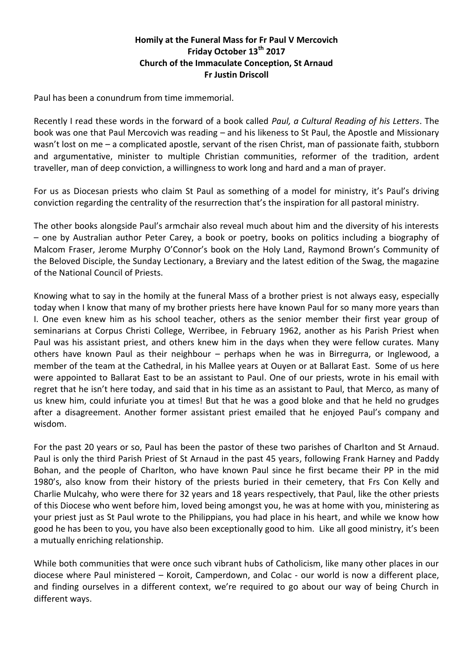## **Homily at the Funeral Mass for Fr Paul V Mercovich Friday October 13th 2017 Church of the Immaculate Conception, St Arnaud Fr Justin Driscoll**

Paul has been a conundrum from time immemorial.

Recently I read these words in the forward of a book called *Paul, a Cultural Reading of his Letters*. The book was one that Paul Mercovich was reading – and his likeness to St Paul, the Apostle and Missionary wasn't lost on me – a complicated apostle, servant of the risen Christ, man of passionate faith, stubborn and argumentative, minister to multiple Christian communities, reformer of the tradition, ardent traveller, man of deep conviction, a willingness to work long and hard and a man of prayer.

For us as Diocesan priests who claim St Paul as something of a model for ministry, it's Paul's driving conviction regarding the centrality of the resurrection that's the inspiration for all pastoral ministry.

The other books alongside Paul's armchair also reveal much about him and the diversity of his interests – one by Australian author Peter Carey, a book or poetry, books on politics including a biography of Malcom Fraser, Jerome Murphy O'Connor's book on the Holy Land, Raymond Brown's Community of the Beloved Disciple, the Sunday Lectionary, a Breviary and the latest edition of the Swag, the magazine of the National Council of Priests.

Knowing what to say in the homily at the funeral Mass of a brother priest is not always easy, especially today when I know that many of my brother priests here have known Paul for so many more years than I. One even knew him as his school teacher, others as the senior member their first year group of seminarians at Corpus Christi College, Werribee, in February 1962, another as his Parish Priest when Paul was his assistant priest, and others knew him in the days when they were fellow curates. Many others have known Paul as their neighbour – perhaps when he was in Birregurra, or Inglewood, a member of the team at the Cathedral, in his Mallee years at Ouyen or at Ballarat East. Some of us here were appointed to Ballarat East to be an assistant to Paul. One of our priests, wrote in his email with regret that he isn't here today, and said that in his time as an assistant to Paul, that Merco, as many of us knew him, could infuriate you at times! But that he was a good bloke and that he held no grudges after a disagreement. Another former assistant priest emailed that he enjoyed Paul's company and wisdom.

For the past 20 years or so, Paul has been the pastor of these two parishes of Charlton and St Arnaud. Paul is only the third Parish Priest of St Arnaud in the past 45 years, following Frank Harney and Paddy Bohan, and the people of Charlton, who have known Paul since he first became their PP in the mid 1980's, also know from their history of the priests buried in their cemetery, that Frs Con Kelly and Charlie Mulcahy, who were there for 32 years and 18 years respectively, that Paul, like the other priests of this Diocese who went before him, loved being amongst you, he was at home with you, ministering as your priest just as St Paul wrote to the Philippians, you had place in his heart, and while we know how good he has been to you, you have also been exceptionally good to him. Like all good ministry, it's been a mutually enriching relationship.

While both communities that were once such vibrant hubs of Catholicism, like many other places in our diocese where Paul ministered – Koroit, Camperdown, and Colac - our world is now a different place, and finding ourselves in a different context, we're required to go about our way of being Church in different ways.